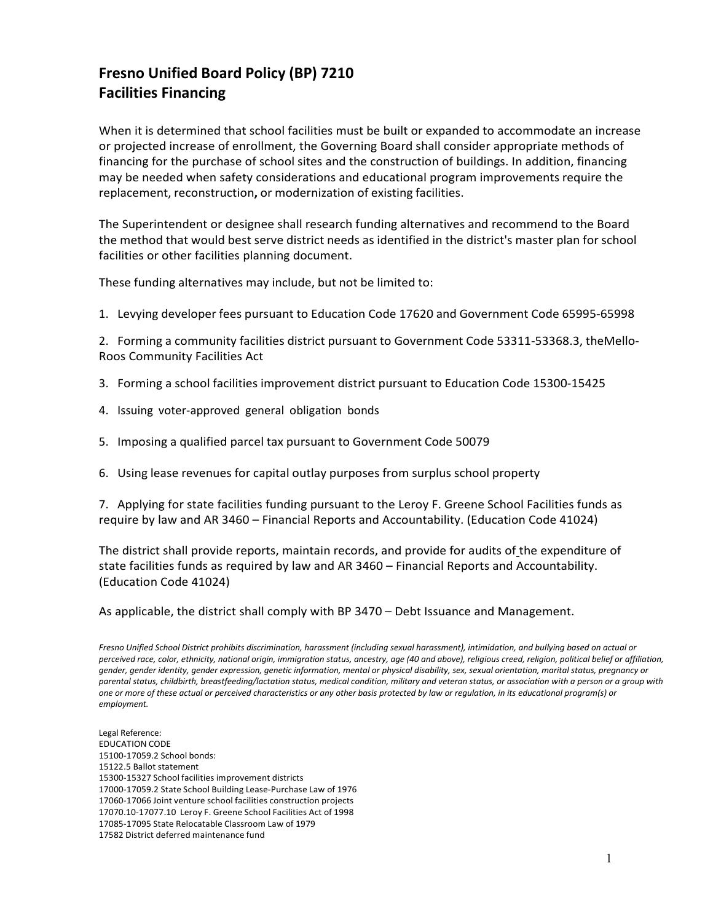## **Fresno Unified Board Policy (BP) 7210 Facilities Financing**

When it is determined that school facilities must be built or expanded to accommodate an increase or projected increase of enrollment, the Governing Board shall consider appropriate methods of financing for the purchase of school sites and the construction of buildings. In addition, financing may be needed when safety considerations and educational program improvements require the replacement, reconstruction**,** or modernization of existing facilities.

The Superintendent or designee shall research funding alternatives and recommend to the Board the method that would best serve district needs as identified in the district's master plan for school facilities or other facilities planning document.

These funding alternatives may include, but not be limited to:

1. Levying developer fees pursuant to Education Code 17620 and Government Code 65995-65998

2. Forming a community facilities district pursuant to Government Code 53311-53368.3, theMello-Roos Community Facilities Act

- 3. Forming a school facilities improvement district pursuant to Education Code 15300-15425
- 4. Issuing voter-approved general obligation bonds
- 5. Imposing a qualified parcel tax pursuant to Government Code 50079
- 6. Using lease revenues for capital outlay purposes from surplus school property

7. Applying for state facilities funding pursuant to the Leroy F. Greene School Facilities funds as require by law and AR 3460 – Financial Reports and Accountability. (Education Code 41024)

The district shall provide reports, maintain records, and provide for audits of the expenditure of state facilities funds as required by law and AR 3460 – Financial Reports and Accountability. (Education Code 41024)

As applicable, the district shall comply with BP 3470 – Debt Issuance and Management.

*Fresno Unified School District prohibits discrimination, harassment (including sexual harassment), intimidation, and bullying based on actual or perceived race, color, ethnicity, national origin, immigration status, ancestry, age (40 and above), religious creed, religion, political belief or affiliation, gender, gender identity, gender expression, genetic information, mental or physical disability, sex, sexual orientation, marital status, pregnancy or parental status, childbirth, breastfeeding/lactation status, medical condition, military and veteran status, or association with a person or a group with one or more of these actual or perceived characteristics or any other basis protected by law or regulation, in its educational program(s) or employment.*

Legal Reference: EDUCATION CODE 15100-17059.2 School bonds: 15122.5 Ballot statement 15300-15327 School facilities improvement districts 17000-17059.2 State School Building Lease-Purchase Law of 1976 17060-17066 Joint venture school facilities construction projects 17070.10-17077.10 Leroy F. Greene School Facilities Act of 1998 17085-17095 State Relocatable Classroom Law of 1979 17582 District deferred maintenance fund